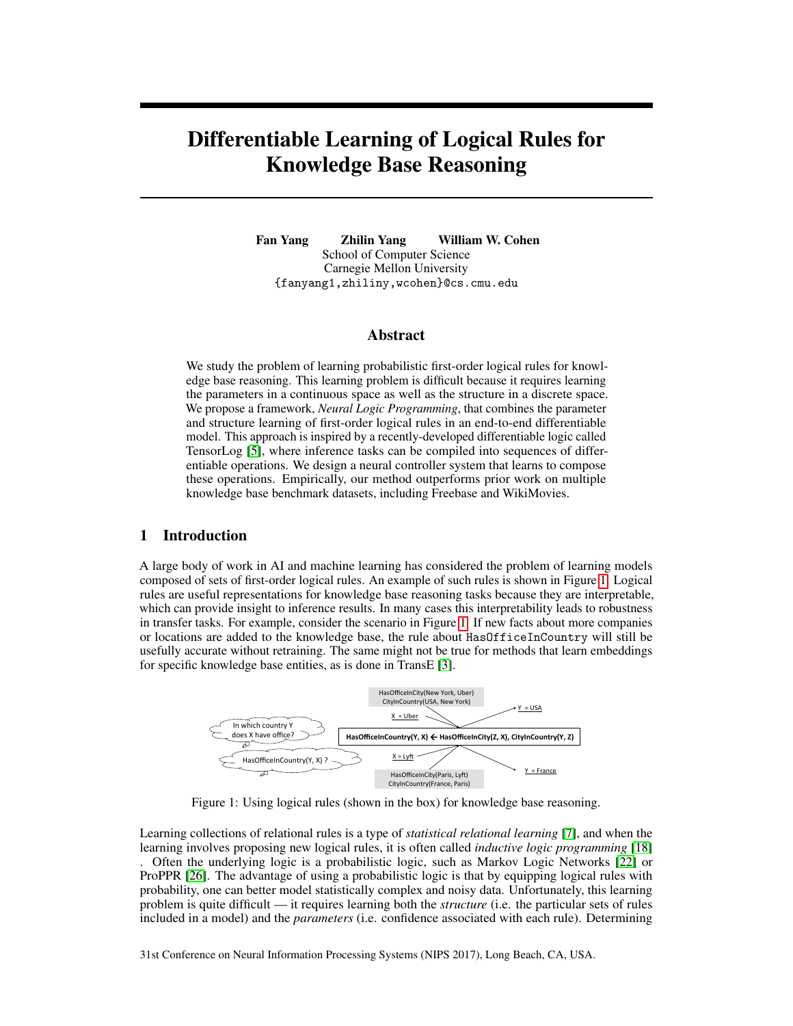# Differentiable Learning of Logical Rules for Knowledge Base Reasoning

Fan Yang Zhilin Yang William W. Cohen School of Computer Science Carnegie Mellon University {fanyang1,zhiliny,wcohen}@cs.cmu.edu

## Abstract

We study the problem of learning probabilistic first-order logical rules for knowledge base reasoning. This learning problem is difficult because it requires learning the parameters in a continuous space as well as the structure in a discrete space. We propose a framework, *Neural Logic Programming*, that combines the parameter and structure learning of first-order logical rules in an end-to-end differentiable model. This approach is inspired by a recently-developed differentiable logic called TensorLog [5], where inference tasks can be compiled into sequences of differentiable operations. We design a neural controller system that learns to compose these operations. Empirically, our method outperforms prior work on multiple knowledge base benchmark datasets, including Freebase and WikiMovies.

# 1 Introduction

A large body of work in AI and machine learning has considered the problem of learning models composed of sets of first-order logical rules. An example of such rules is shown in Figure 1. Logical rules are useful representations for knowledge base reasoning tasks because they are interpretable, which can provide insight to inference results. In many cases this interpretability leads to robustness in transfer tasks. For example, consider the scenario in Figure 1. If new facts about more companies or locations are added to the knowledge base, the rule about HasOfficeInCountry will still be usefully accurate without retraining. The same might not be true for methods that learn embeddings for specific knowledge base entities, as is done in TransE [3].



Figure 1: Using logical rules (shown in the box) for knowledge base reasoning.

Learning collections of relational rules is a type of *statistical relational learning* [7], and when the learning involves proposing new logical rules, it is often called *inductive logic programming* [18] . Often the underlying logic is a probabilistic logic, such as Markov Logic Networks [22] or ProPPR [26]. The advantage of using a probabilistic logic is that by equipping logical rules with probability, one can better model statistically complex and noisy data. Unfortunately, this learning problem is quite difficult — it requires learning both the *structure* (i.e. the particular sets of rules included in a model) and the *parameters* (i.e. confidence associated with each rule). Determining

31st Conference on Neural Information Processing Systems (NIPS 2017), Long Beach, CA, USA.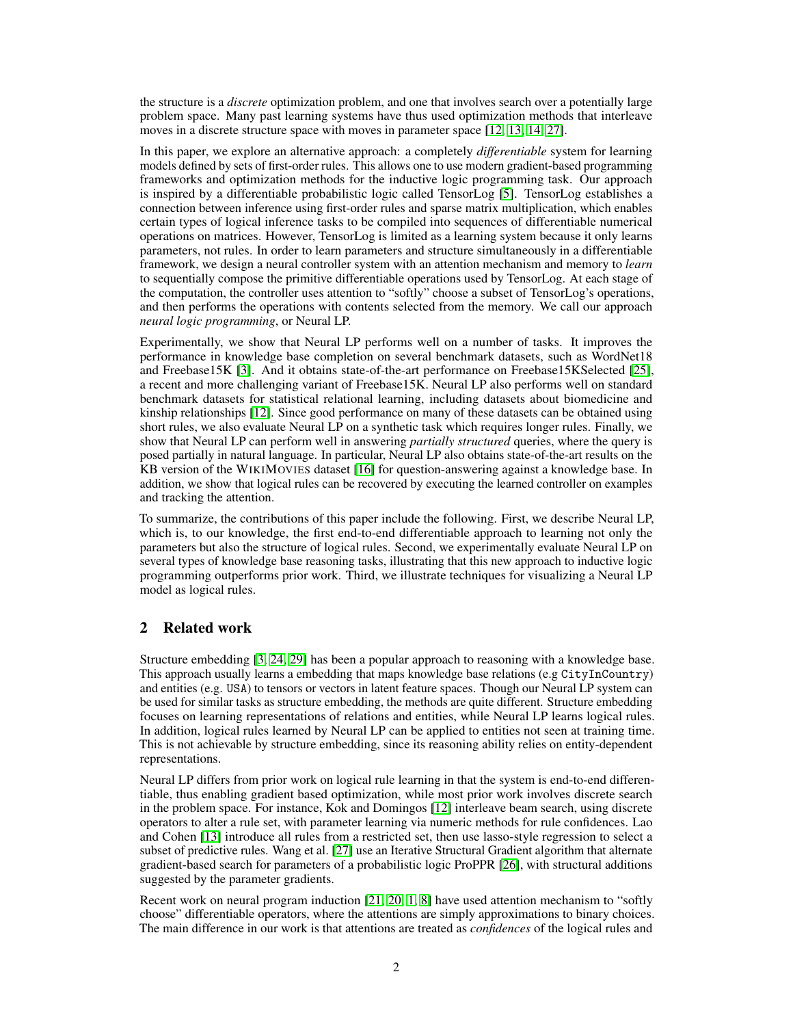the structure is a *discrete* optimization problem, and one that involves search over a potentially large problem space. Many past learning systems have thus used optimization methods that interleave moves in a discrete structure space with moves in parameter space [12, 13, 14, 27].

In this paper, we explore an alternative approach: a completely *differentiable* system for learning models defined by sets of first-order rules. This allows one to use modern gradient-based programming frameworks and optimization methods for the inductive logic programming task. Our approach is inspired by a differentiable probabilistic logic called TensorLog [5]. TensorLog establishes a connection between inference using first-order rules and sparse matrix multiplication, which enables certain types of logical inference tasks to be compiled into sequences of differentiable numerical operations on matrices. However, TensorLog is limited as a learning system because it only learns parameters, not rules. In order to learn parameters and structure simultaneously in a differentiable framework, we design a neural controller system with an attention mechanism and memory to *learn* to sequentially compose the primitive differentiable operations used by TensorLog. At each stage of the computation, the controller uses attention to "softly" choose a subset of TensorLog's operations, and then performs the operations with contents selected from the memory. We call our approach *neural logic programming*, or Neural LP.

Experimentally, we show that Neural LP performs well on a number of tasks. It improves the performance in knowledge base completion on several benchmark datasets, such as WordNet18 and Freebase15K [3]. And it obtains state-of-the-art performance on Freebase15KSelected [25], a recent and more challenging variant of Freebase15K. Neural LP also performs well on standard benchmark datasets for statistical relational learning, including datasets about biomedicine and kinship relationships [12]. Since good performance on many of these datasets can be obtained using short rules, we also evaluate Neural LP on a synthetic task which requires longer rules. Finally, we show that Neural LP can perform well in answering *partially structured* queries, where the query is posed partially in natural language. In particular, Neural LP also obtains state-of-the-art results on the KB version of the WIKIMOVIES dataset [16] for question-answering against a knowledge base. In addition, we show that logical rules can be recovered by executing the learned controller on examples and tracking the attention.

To summarize, the contributions of this paper include the following. First, we describe Neural LP, which is, to our knowledge, the first end-to-end differentiable approach to learning not only the parameters but also the structure of logical rules. Second, we experimentally evaluate Neural LP on several types of knowledge base reasoning tasks, illustrating that this new approach to inductive logic programming outperforms prior work. Third, we illustrate techniques for visualizing a Neural LP model as logical rules.

# 2 Related work

Structure embedding [3, 24, 29] has been a popular approach to reasoning with a knowledge base. This approach usually learns a embedding that maps knowledge base relations (e.g CityInCountry) and entities (e.g. USA) to tensors or vectors in latent feature spaces. Though our Neural LP system can be used for similar tasks as structure embedding, the methods are quite different. Structure embedding focuses on learning representations of relations and entities, while Neural LP learns logical rules. In addition, logical rules learned by Neural LP can be applied to entities not seen at training time. This is not achievable by structure embedding, since its reasoning ability relies on entity-dependent representations.

Neural LP differs from prior work on logical rule learning in that the system is end-to-end differentiable, thus enabling gradient based optimization, while most prior work involves discrete search in the problem space. For instance, Kok and Domingos [12] interleave beam search, using discrete operators to alter a rule set, with parameter learning via numeric methods for rule confidences. Lao and Cohen [13] introduce all rules from a restricted set, then use lasso-style regression to select a subset of predictive rules. Wang et al. [27] use an Iterative Structural Gradient algorithm that alternate gradient-based search for parameters of a probabilistic logic ProPPR [26], with structural additions suggested by the parameter gradients.

Recent work on neural program induction [21, 20, 1, 8] have used attention mechanism to "softly choose" differentiable operators, where the attentions are simply approximations to binary choices. The main difference in our work is that attentions are treated as *confidences* of the logical rules and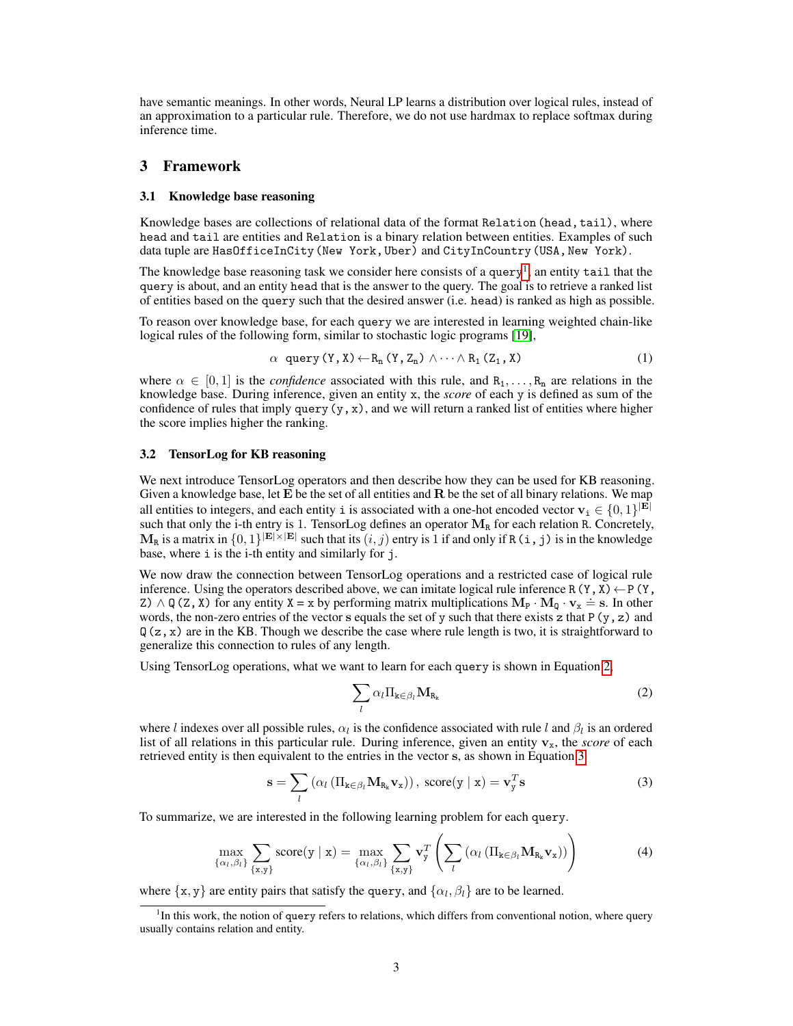have semantic meanings. In other words, Neural LP learns a distribution over logical rules, instead of an approximation to a particular rule. Therefore, we do not use hardmax to replace softmax during inference time.

## 3 Framework

#### 3.1 Knowledge base reasoning

Knowledge bases are collections of relational data of the format Relation (head, tail), where head and tail are entities and Relation is a binary relation between entities. Examples of such data tuple are HasOfficeInCity (New York, Uber) and CityInCountry (USA, New York).

The knowledge base reasoning task we consider here consists of a query<sup>1</sup>, an entity tail that the query is about, and an entity head that is the answer to the query. The goal is to retrieve a ranked list of entities based on the query such that the desired answer (i.e. head) is ranked as high as possible.

To reason over knowledge base, for each query we are interested in learning weighted chain-like logical rules of the following form, similar to stochastic logic programs [19],

$$
\alpha \text{ query } (Y, X) \leftarrow R_n (Y, Z_n) \land \cdots \land R_1 (Z_1, X) \tag{1}
$$

where  $\alpha \in [0, 1]$  is the *confidence* associated with this rule, and  $R_1, \ldots, R_n$  are relations in the knowledge base. During inference, given an entity x, the *score* of each y is defined as sum of the confidence of rules that imply query  $(y, x)$ , and we will return a ranked list of entities where higher the score implies higher the ranking.

#### 3.2 TensorLog for KB reasoning

We next introduce TensorLog operators and then describe how they can be used for KB reasoning. Given a knowledge base, let  $E$  be the set of all entities and  $R$  be the set of all binary relations. We map all entities to integers, and each entity i is associated with a one-hot encoded vector  $\mathbf{v}_i \in \{0,1\}^{|\mathbf{E}|}$ such that only the i-th entry is 1. TensorLog defines an operator  $M_R$  for each relation R. Concretely,  $M_R$  is a matrix in  $\{0,1\}^{|E|\times|E|}$  such that its  $(i,j)$  entry is 1 if and only if R(i,j) is in the knowledge base, where i is the i-th entity and similarly for j.

We now draw the connection between TensorLog operations and a restricted case of logical rule inference. Using the operators described above, we can imitate logical rule inference R(Y, X)  $\leftarrow$  P(Y,  $Z$ )  $\wedge$  Q(z, x) for any entity  $X = x$  by performing matrix multiplications  $M_P \cdot M_Q \cdot v_x = s$ . In other words, the non-zero entries of the vector s equals the set of y such that there exists z that  $P(y, z)$  and  $Q(z, x)$  are in the KB. Though we describe the case where rule length is two, it is straightforward to generalize this connection to rules of any length.

Using TensorLog operations, what we want to learn for each query is shown in Equation 2,

$$
\sum_{l} \alpha_l \Pi_{k \in \beta_l} \mathbf{M}_{R_k} \tag{2}
$$

where l indexes over all possible rules,  $\alpha_l$  is the confidence associated with rule l and  $\beta_l$  is an ordered list of all relations in this particular rule. During inference, given an entity  $v_x$ , the *score* of each retrieved entity is then equivalent to the entries in the vector s, as shown in Equation 3.

$$
\mathbf{s} = \sum_{l} \left( \alpha_{l} \left( \Pi_{\mathbf{k} \in \beta_{l}} \mathbf{M}_{\mathbf{R}_{\mathbf{k}}} \mathbf{v}_{\mathbf{x}} \right) \right), \,\, \text{score}(\mathbf{y} \mid \mathbf{x}) = \mathbf{v}_{\mathbf{y}}^{T} \mathbf{s}
$$
\n(3)

To summarize, we are interested in the following learning problem for each query.

$$
\max_{\{\alpha_l,\beta_l\}} \sum_{\{\mathbf{x},\mathbf{y}\}} \text{score}(\mathbf{y} \mid \mathbf{x}) = \max_{\{\alpha_l,\beta_l\}} \sum_{\{\mathbf{x},\mathbf{y}\}} \mathbf{v}_{\mathbf{y}}^T \left( \sum_l (\alpha_l \left( \Pi_{\mathbf{k} \in \beta_l} \mathbf{M}_{\mathbf{R}_{\mathbf{k}}} \mathbf{v}_{\mathbf{x}} \right) ) \right)
$$
(4)

where  $\{x, y\}$  are entity pairs that satisfy the query, and  $\{\alpha_l, \beta_l\}$  are to be learned.

<sup>&</sup>lt;sup>1</sup>In this work, the notion of query refers to relations, which differs from conventional notion, where query usually contains relation and entity.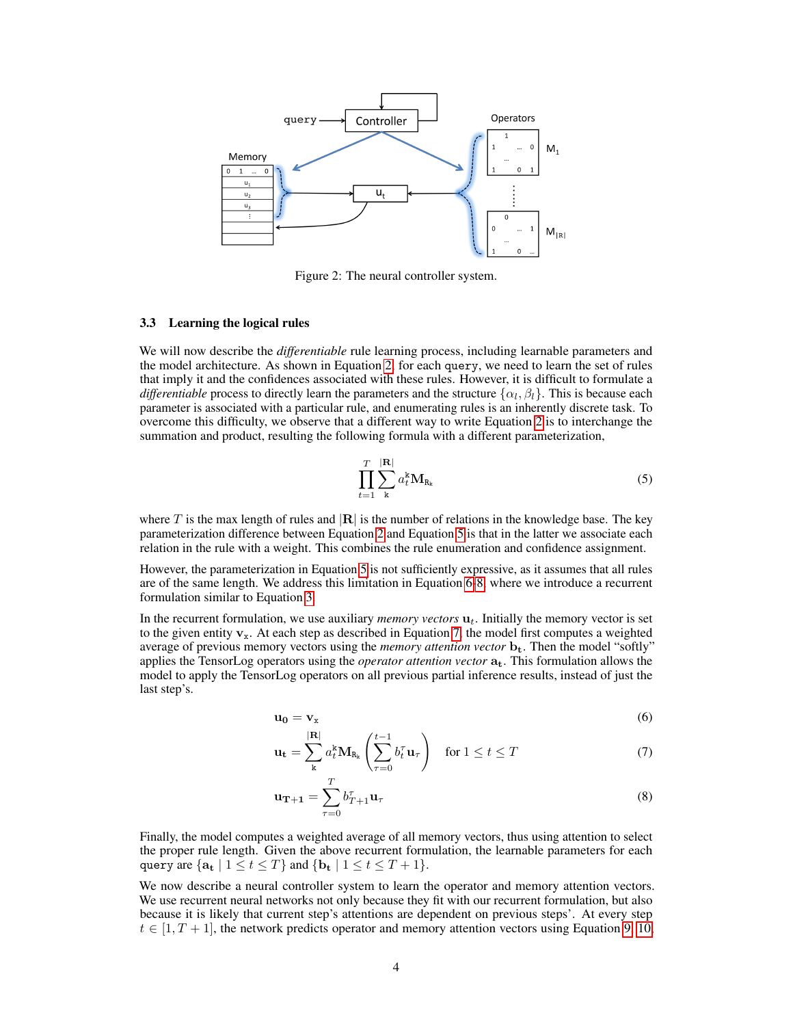

Figure 2: The neural controller system.

#### 3.3 Learning the logical rules

We will now describe the *differentiable* rule learning process, including learnable parameters and the model architecture. As shown in Equation 2, for each query, we need to learn the set of rules that imply it and the confidences associated with these rules. However, it is difficult to formulate a *differentiable* process to directly learn the parameters and the structure  $\{\alpha_l, \beta_l\}$ . This is because each parameter is associated with a particular rule, and enumerating rules is an inherently discrete task. To overcome this difficulty, we observe that a different way to write Equation 2 is to interchange the summation and product, resulting the following formula with a different parameterization,

$$
\prod_{t=1}^{T} \sum_{\mathbf{k}}^{|\mathbf{R}|} a_t^{\mathbf{k}} \mathbf{M}_{\mathbf{R}_{\mathbf{k}}} \tag{5}
$$

where T is the max length of rules and  $|R|$  is the number of relations in the knowledge base. The key parameterization difference between Equation 2 and Equation 5 is that in the latter we associate each relation in the rule with a weight. This combines the rule enumeration and confidence assignment.

However, the parameterization in Equation 5 is not sufficiently expressive, as it assumes that all rules are of the same length. We address this limitation in Equation 6-8, where we introduce a recurrent formulation similar to Equation 3.

In the recurrent formulation, we use auxiliary *memory vectors*  $\mathbf{u}_t$ . Initially the memory vector is set to the given entity  $v_x$ . At each step as described in Equation 7, the model first computes a weighted average of previous memory vectors using the *memory attention vector*  $\mathbf{b}_t$ . Then the model "softly" applies the TensorLog operators using the *operator attention vector* at. This formulation allows the model to apply the TensorLog operators on all previous partial inference results, instead of just the last step's.

$$
\mathbf{u}_0 = \mathbf{v}_x \tag{6}
$$

$$
\mathbf{u_t} = \sum_{k}^{|R|} a_t^k \mathbf{M}_{R_k} \left( \sum_{\tau=0}^{t-1} b_t^{\tau} \mathbf{u}_{\tau} \right) \quad \text{for } 1 \le t \le T \tag{7}
$$

$$
\mathbf{u}_{\mathbf{T}+\mathbf{1}} = \sum_{\tau=0}^{T} b_{T+1}^{\tau} \mathbf{u}_{\tau}
$$
 (8)

Finally, the model computes a weighted average of all memory vectors, thus using attention to select the proper rule length. Given the above recurrent formulation, the learnable parameters for each query are  $\{a_t | 1 \le t \le T\}$  and  $\{b_t | 1 \le t \le T + 1\}$ .

We now describe a neural controller system to learn the operator and memory attention vectors. We use recurrent neural networks not only because they fit with our recurrent formulation, but also because it is likely that current step's attentions are dependent on previous steps'. At every step  $t \in [1, T + 1]$ , the network predicts operator and memory attention vectors using Equation 9, 10,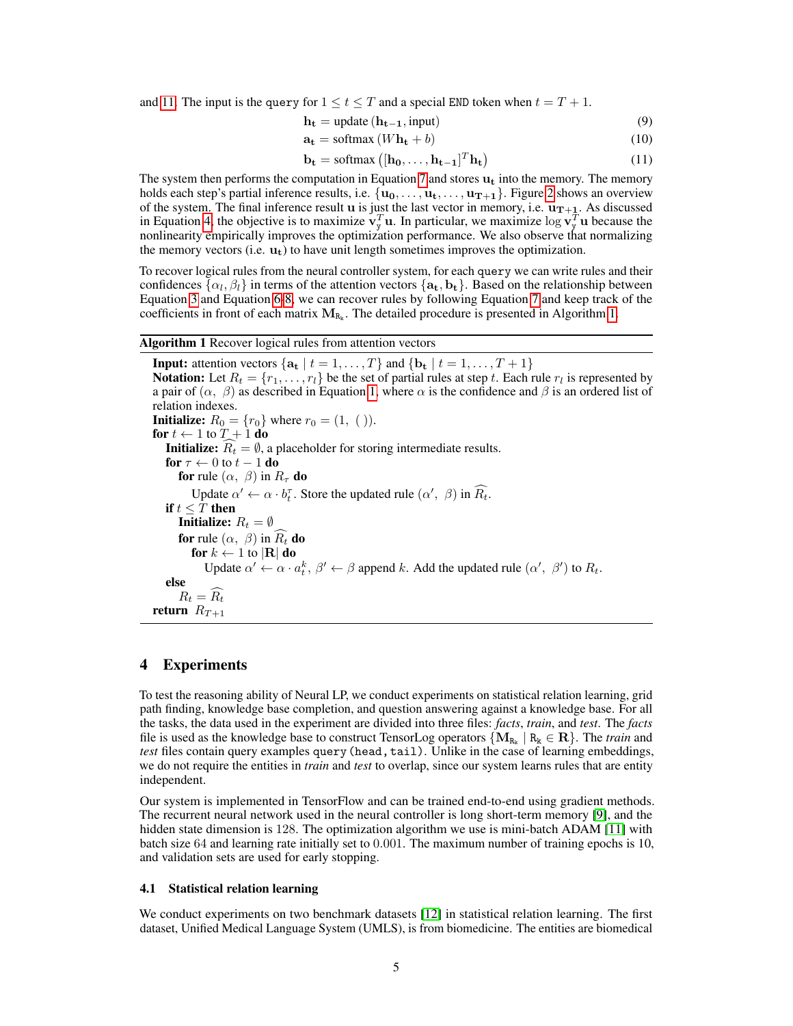and 11. The input is the query for  $1 \le t \le T$  and a special END token when  $t = T + 1$ .

$$
\mathbf{h_t} = \text{update}\left(\mathbf{h_{t-1}}, \text{input}\right) \tag{9}
$$

$$
\mathbf{a_t} = \text{softmax}(W\mathbf{h_t} + b) \tag{10}
$$

$$
\mathbf{b_t} = \text{softmax}\left( [\mathbf{h_0}, \dots, \mathbf{h_{t-1}}]^T \mathbf{h_t} \right) \tag{11}
$$

The system then performs the computation in Equation 7 and stores  $\mathbf{u}_t$  into the memory. The memory holds each step's partial inference results, i.e.  $\{u_0, \ldots, u_t, \ldots, u_{T+1}\}$ . Figure 2 shows an overview of the system. The final inference result  $\bf{u}$  is just the last vector in memory, i.e.  $\bf{u}_{T+1}$ . As discussed in Equation 4, the objective is to maximize  $v_y^T u$ . In particular, we maximize  $\log v_y^T u$  because the nonlinearity empirically improves the optimization performance. We also observe that normalizing the memory vectors (i.e.  $\mathbf{u}_t$ ) to have unit length sometimes improves the optimization.

To recover logical rules from the neural controller system, for each query we can write rules and their confidences  $\{\alpha_l,\beta_l\}$  in terms of the attention vectors  $\{{\bf a_t,b_t}\}.$  Based on the relationship between Equation 3 and Equation 6-8, we can recover rules by following Equation 7 and keep track of the coefficients in front of each matrix  $M_{R_k}$ . The detailed procedure is presented in Algorithm 1.

Algorithm 1 Recover logical rules from attention vectors

**Input:** attention vectors  $\{a_t | t = 1, ..., T\}$  and  $\{b_t | t = 1, ..., T + 1\}$ **Notation:** Let  $R_t = \{r_1, \ldots, r_l\}$  be the set of partial rules at step t. Each rule  $r_l$  is represented by a pair of  $(\alpha, \beta)$  as described in Equation 1, where  $\alpha$  is the confidence and  $\beta$  is an ordered list of relation indexes. **Initialize:**  $R_0 = \{r_0\}$  where  $r_0 = (1, ())$ . for  $t \leftarrow 1$  to  $T + 1$  do **Initialize:**  $\widehat{R_t} = \emptyset$ , a placeholder for storing intermediate results. for  $\tau \leftarrow 0$  to  $t - 1$  do for rule  $(\alpha, \beta)$  in  $R_{\tau}$  do Update  $\alpha' \leftarrow \alpha \cdot b_t^{\tau}$ . Store the updated rule  $(\alpha', \beta)$  in  $\widehat{R_t}$ . if  $t \leq \overline{T}$  then **Initialize:**  $R_t = \emptyset$ for rule  $(\alpha, \beta)$  in  $R_t$  do for  $k \leftarrow 1$  to  $|\mathbf{R}|$  do Update  $\alpha' \leftarrow \alpha \cdot a_t^k$ ,  $\beta' \leftarrow \beta$  append k. Add the updated rule  $(\alpha', \beta')$  to  $R_t$ . else  $R_t = \widehat{R_t}$ return  $R_{T+1}$ 

# 4 Experiments

To test the reasoning ability of Neural LP, we conduct experiments on statistical relation learning, grid path finding, knowledge base completion, and question answering against a knowledge base. For all the tasks, the data used in the experiment are divided into three files: *facts*, *train*, and *test*. The *facts* file is used as the knowledge base to construct TensorLog operators  $\{M_{R_k} \mid R_k \in \mathbf{R}\}$ . The *train* and *test* files contain query examples query (head, tail). Unlike in the case of learning embeddings, we do not require the entities in *train* and *test* to overlap, since our system learns rules that are entity independent.

Our system is implemented in TensorFlow and can be trained end-to-end using gradient methods. The recurrent neural network used in the neural controller is long short-term memory [9], and the hidden state dimension is 128. The optimization algorithm we use is mini-batch ADAM [11] with batch size 64 and learning rate initially set to 0.001. The maximum number of training epochs is 10, and validation sets are used for early stopping.

#### 4.1 Statistical relation learning

We conduct experiments on two benchmark datasets [12] in statistical relation learning. The first dataset, Unified Medical Language System (UMLS), is from biomedicine. The entities are biomedical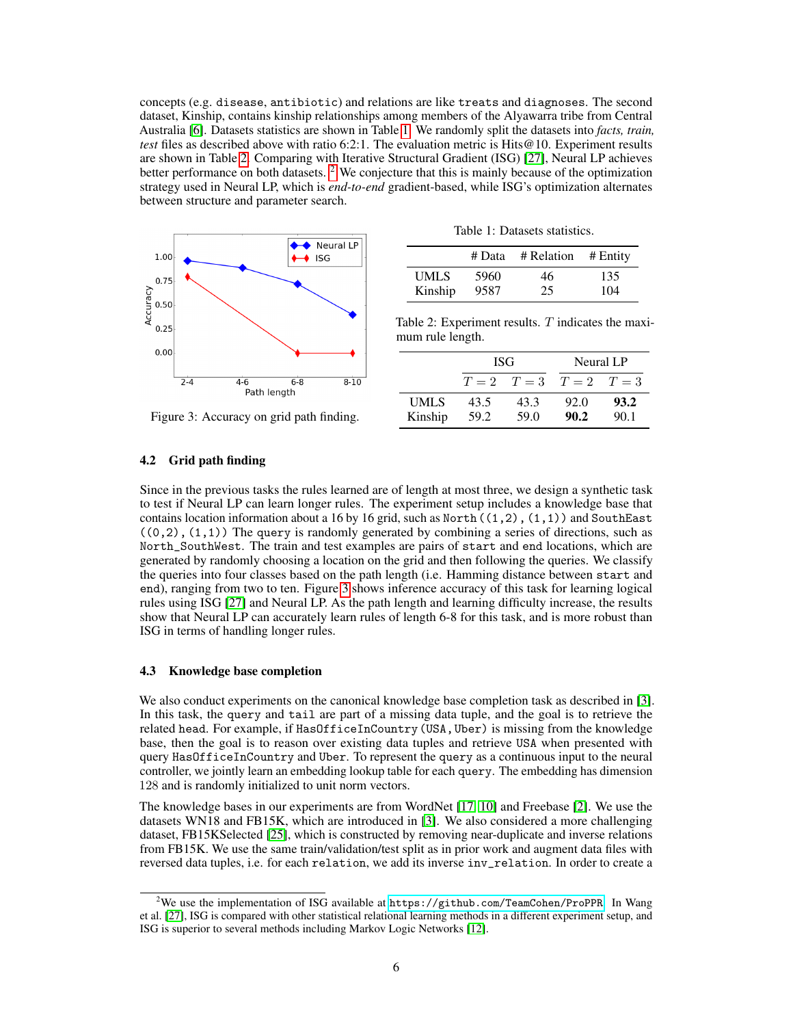concepts (e.g. disease, antibiotic) and relations are like treats and diagnoses. The second dataset, Kinship, contains kinship relationships among members of the Alyawarra tribe from Central Australia [6]. Datasets statistics are shown in Table 1. We randomly split the datasets into *facts, train, test* files as described above with ratio 6:2:1. The evaluation metric is Hits@10. Experiment results are shown in Table 2. Comparing with Iterative Structural Gradient (ISG) [27], Neural LP achieves better performance on both datasets. <sup>2</sup> We conjecture that this is mainly because of the optimization strategy used in Neural LP, which is *end-to-end* gradient-based, while ISG's optimization alternates between structure and parameter search.



Table 1: Datasets statistics.

|             | # Data | # Relation # Entity |     |
|-------------|--------|---------------------|-----|
| <b>UMLS</b> | 5960   | 46                  | 135 |
| Kinship     | 9587   | 25                  | 104 |

Table 2: Experiment results.  $T$  indicates the maximum rule length.

|                        | ISG          |              | Neural LP               |              |
|------------------------|--------------|--------------|-------------------------|--------------|
|                        |              |              | $T=2$ $T=3$ $T=2$ $T=3$ |              |
| <b>UMLS</b><br>Kinship | 43.5<br>59.2 | 43.3<br>59.0 | 92.0<br>90.2            | 93.2<br>90.1 |

#### Figure 3: Accuracy on grid path finding.

#### 4.2 Grid path finding

Since in the previous tasks the rules learned are of length at most three, we design a synthetic task to test if Neural LP can learn longer rules. The experiment setup includes a knowledge base that contains location information about a 16 by 16 grid, such as North $((1,2), (1,1))$  and SouthEast  $((0,2), (1,1))$  The query is randomly generated by combining a series of directions, such as North\_SouthWest. The train and test examples are pairs of start and end locations, which are generated by randomly choosing a location on the grid and then following the queries. We classify the queries into four classes based on the path length (i.e. Hamming distance between start and end), ranging from two to ten. Figure 3 shows inference accuracy of this task for learning logical rules using ISG [27] and Neural LP. As the path length and learning difficulty increase, the results show that Neural LP can accurately learn rules of length 6-8 for this task, and is more robust than ISG in terms of handling longer rules.

#### 4.3 Knowledge base completion

We also conduct experiments on the canonical knowledge base completion task as described in [3]. In this task, the query and tail are part of a missing data tuple, and the goal is to retrieve the related head. For example, if HasOfficeInCountry(USA,Uber) is missing from the knowledge base, then the goal is to reason over existing data tuples and retrieve USA when presented with query HasOfficeInCountry and Uber. To represent the query as a continuous input to the neural controller, we jointly learn an embedding lookup table for each query. The embedding has dimension 128 and is randomly initialized to unit norm vectors.

The knowledge bases in our experiments are from WordNet [17, 10] and Freebase [2]. We use the datasets WN18 and FB15K, which are introduced in [3]. We also considered a more challenging dataset, FB15KSelected [25], which is constructed by removing near-duplicate and inverse relations from FB15K. We use the same train/validation/test split as in prior work and augment data files with reversed data tuples, i.e. for each relation, we add its inverse inv\_relation. In order to create a

<sup>&</sup>lt;sup>2</sup>We use the implementation of ISG available at <https://github.com/TeamCohen/ProPPR>. In Wang et al. [27], ISG is compared with other statistical relational learning methods in a different experiment setup, and ISG is superior to several methods including Markov Logic Networks [12].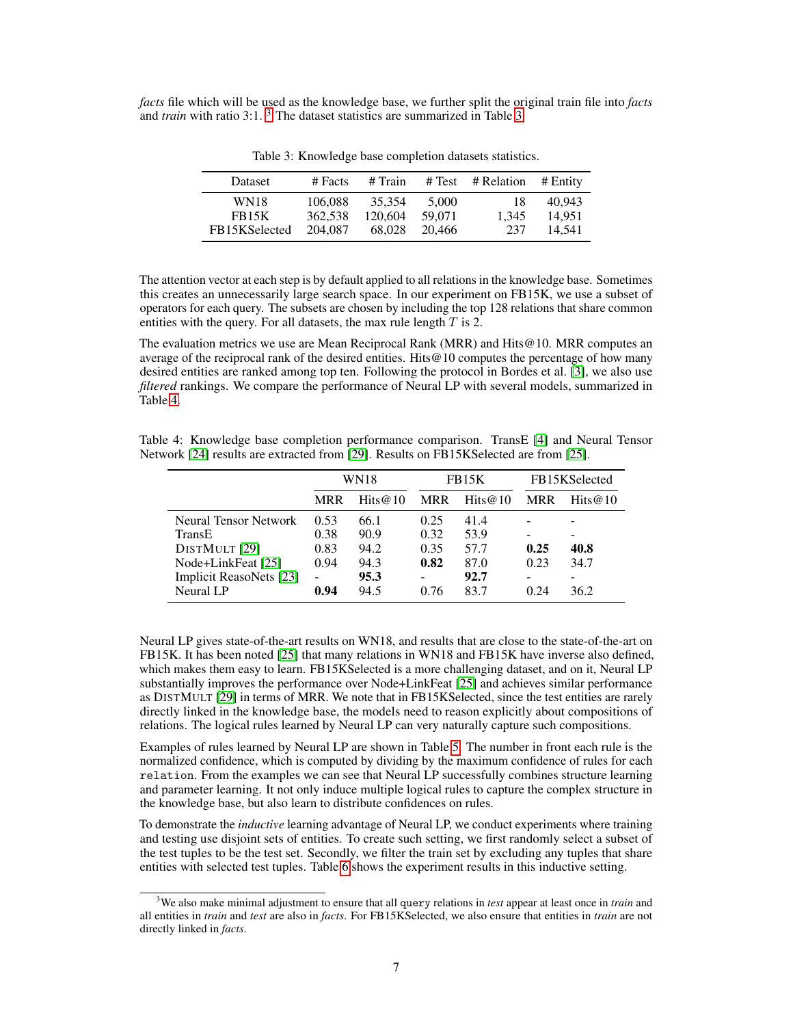*facts* file which will be used as the knowledge base, we further split the original train file into *facts* and *train* with ratio 3:1.<sup>3</sup> The dataset statistics are summarized in Table 3.

| Dataset       | $#$ Facts | # Train | # Test | # Relation | # Entity |
|---------------|-----------|---------|--------|------------|----------|
| <b>WN18</b>   | 106.088   | 35.354  | 5.000  | 18         | 40.943   |
| <b>FB15K</b>  | 362.538   | 120,604 | 59.071 | 1.345      | 14.951   |
| FB15KSelected | 204.087   | 68,028  | 20.466 | 237        | 14.541   |

Table 3: Knowledge base completion datasets statistics.

The attention vector at each step is by default applied to all relations in the knowledge base. Sometimes this creates an unnecessarily large search space. In our experiment on FB15K, we use a subset of operators for each query. The subsets are chosen by including the top 128 relations that share common entities with the query. For all datasets, the max rule length  $T$  is 2.

The evaluation metrics we use are Mean Reciprocal Rank (MRR) and Hits@10. MRR computes an average of the reciprocal rank of the desired entities. Hits@10 computes the percentage of how many desired entities are ranked among top ten. Following the protocol in Bordes et al. [3], we also use *filtered* rankings. We compare the performance of Neural LP with several models, summarized in Table 4.

Table 4: Knowledge base completion performance comparison. TransE [4] and Neural Tensor Network [24] results are extracted from [29]. Results on FB15KSelected are from [25].

|                         | <b>WN18</b> |            | FB15K      |            | FB15KSelected |            |
|-------------------------|-------------|------------|------------|------------|---------------|------------|
|                         | <b>MRR</b>  | Hits $@10$ | <b>MRR</b> | Hits $@10$ | <b>MRR</b>    | Hits $@10$ |
| Neural Tensor Network   | 0.53        | 66.1       | 0.25       | 41.4       |               |            |
| TransE                  | 0.38        | 90.9       | 0.32       | 53.9       |               |            |
| DISTMULT [29]           | 0.83        | 94.2       | 0.35       | 57.7       | 0.25          | 40.8       |
| Node+LinkFeat [25]      | 0.94        | 94.3       | 0.82       | 87.0       | 0.23          | 34.7       |
| Implicit ReasoNets [23] | ۰           | 95.3       |            | 92.7       |               |            |
| Neural LP               | 0.94        | 94.5       | 0.76       | 83.7       | 0.24          | 36.2       |

Neural LP gives state-of-the-art results on WN18, and results that are close to the state-of-the-art on FB15K. It has been noted [25] that many relations in WN18 and FB15K have inverse also defined, which makes them easy to learn. FB15KSelected is a more challenging dataset, and on it, Neural LP substantially improves the performance over Node+LinkFeat [25] and achieves similar performance as DISTMULT [29] in terms of MRR. We note that in FB15KSelected, since the test entities are rarely directly linked in the knowledge base, the models need to reason explicitly about compositions of relations. The logical rules learned by Neural LP can very naturally capture such compositions.

Examples of rules learned by Neural LP are shown in Table 5. The number in front each rule is the normalized confidence, which is computed by dividing by the maximum confidence of rules for each relation. From the examples we can see that Neural LP successfully combines structure learning and parameter learning. It not only induce multiple logical rules to capture the complex structure in the knowledge base, but also learn to distribute confidences on rules.

To demonstrate the *inductive* learning advantage of Neural LP, we conduct experiments where training and testing use disjoint sets of entities. To create such setting, we first randomly select a subset of the test tuples to be the test set. Secondly, we filter the train set by excluding any tuples that share entities with selected test tuples. Table 6 shows the experiment results in this inductive setting.

<sup>3</sup>We also make minimal adjustment to ensure that all query relations in *test* appear at least once in *train* and all entities in *train* and *test* are also in *facts*. For FB15KSelected, we also ensure that entities in *train* are not directly linked in *facts*.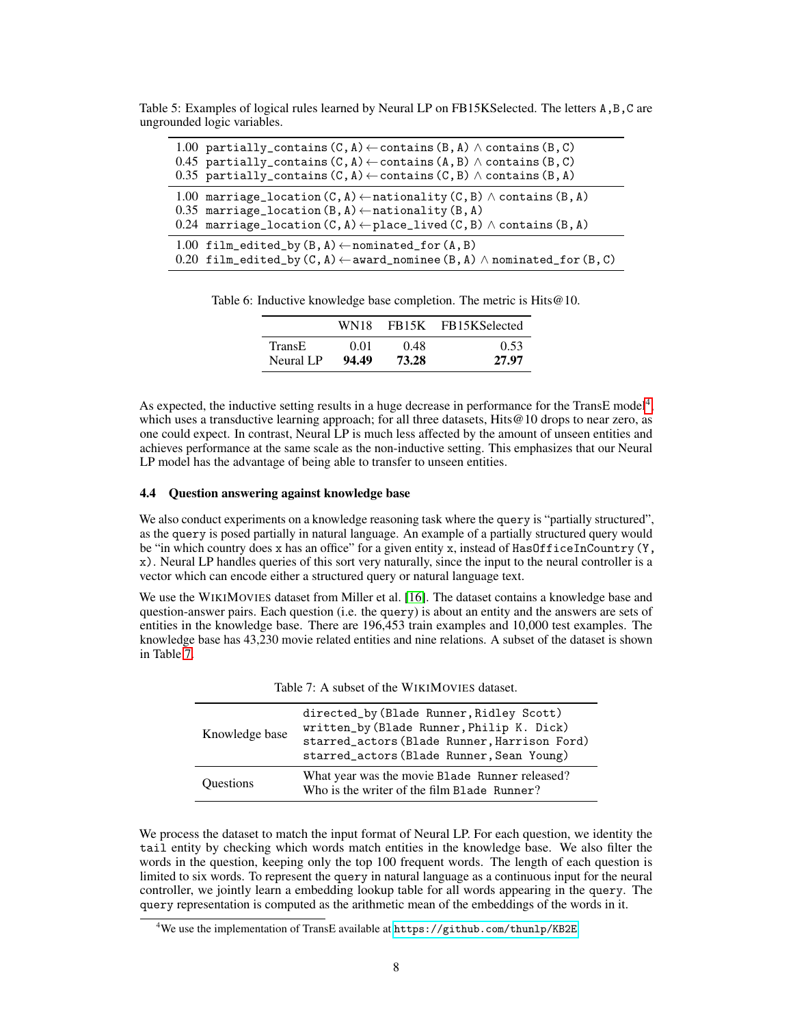| 1.00 partially_contains $(C, A) \leftarrow$ contains $(B, A) \wedge$ contains $(B, C)$<br>0.45 partially_contains $(C, A) \leftarrow$ contains $(A, B) \wedge$ contains $(B, C)$<br>0.35 partially_contains $(C, A) \leftarrow$ contains $(C, B) \wedge$ contains $(B, A)$ |
|----------------------------------------------------------------------------------------------------------------------------------------------------------------------------------------------------------------------------------------------------------------------------|
| 1.00 marriage_location $(C, A) \leftarrow$ nationality $(C, B) \wedge$ contains $(B, A)$<br>0.35 marriage_location $(B, A) \leftarrow$ nationality $(B, A)$<br>0.24 marriage_location $(C, A) \leftarrow$ place_lived $(C, B) \wedge$ contains $(B, A)$                    |
| 1.00 film_edited_by(B,A) $\leftarrow$ nominated_for(A,B)<br>0.20 film_edited_by(C,A) $\leftarrow$ award_nominee(B,A) $\wedge$ nominated_for(B,C)                                                                                                                           |

Table 5: Examples of logical rules learned by Neural LP on FB15KSelected. The letters A,B,C are ungrounded logic variables.

Table 6: Inductive knowledge base completion. The metric is Hits@10.

|               | WN18  |       | FB <sub>15</sub> K FB <sub>15</sub> KSelected |
|---------------|-------|-------|-----------------------------------------------|
| <b>TransE</b> | 0.01  | 0.48  | 0.53                                          |
| Neural LP     | 94.49 | 73.28 | 27.97                                         |

As expected, the inductive setting results in a huge decrease in performance for the TransE model<sup>4</sup>, which uses a transductive learning approach; for all three datasets, Hits  $@10$  drops to near zero, as one could expect. In contrast, Neural LP is much less affected by the amount of unseen entities and achieves performance at the same scale as the non-inductive setting. This emphasizes that our Neural LP model has the advantage of being able to transfer to unseen entities.

#### 4.4 Question answering against knowledge base

We also conduct experiments on a knowledge reasoning task where the query is "partially structured", as the query is posed partially in natural language. An example of a partially structured query would be "in which country does x has an office" for a given entity x, instead of HasOfficeInCountry(Y, x). Neural LP handles queries of this sort very naturally, since the input to the neural controller is a vector which can encode either a structured query or natural language text.

We use the WIKIMOVIES dataset from Miller et al. [16]. The dataset contains a knowledge base and question-answer pairs. Each question (i.e. the query) is about an entity and the answers are sets of entities in the knowledge base. There are 196,453 train examples and 10,000 test examples. The knowledge base has 43,230 movie related entities and nine relations. A subset of the dataset is shown in Table 7.

| Table 7. A subset of the WIRTMOVIES dataset. |                                                                                                                                                                                   |  |
|----------------------------------------------|-----------------------------------------------------------------------------------------------------------------------------------------------------------------------------------|--|
| Knowledge base                               | directed_by (Blade Runner, Ridley Scott)<br>written_by(Blade Runner, Philip K. Dick)<br>starred_actors (Blade Runner, Harrison Ford)<br>starred_actors (Blade Runner, Sean Young) |  |
| <b>Ouestions</b>                             | What year was the movie Blade Runner released?<br>Who is the writer of the film Blade Runner?                                                                                     |  |

Table 7: A subset of the WIKIMOVIES dataset

We process the dataset to match the input format of Neural LP. For each question, we identity the tail entity by checking which words match entities in the knowledge base. We also filter the words in the question, keeping only the top 100 frequent words. The length of each question is limited to six words. To represent the query in natural language as a continuous input for the neural controller, we jointly learn a embedding lookup table for all words appearing in the query. The query representation is computed as the arithmetic mean of the embeddings of the words in it.

<sup>4</sup>We use the implementation of TransE available at <https://github.com/thunlp/KB2E>.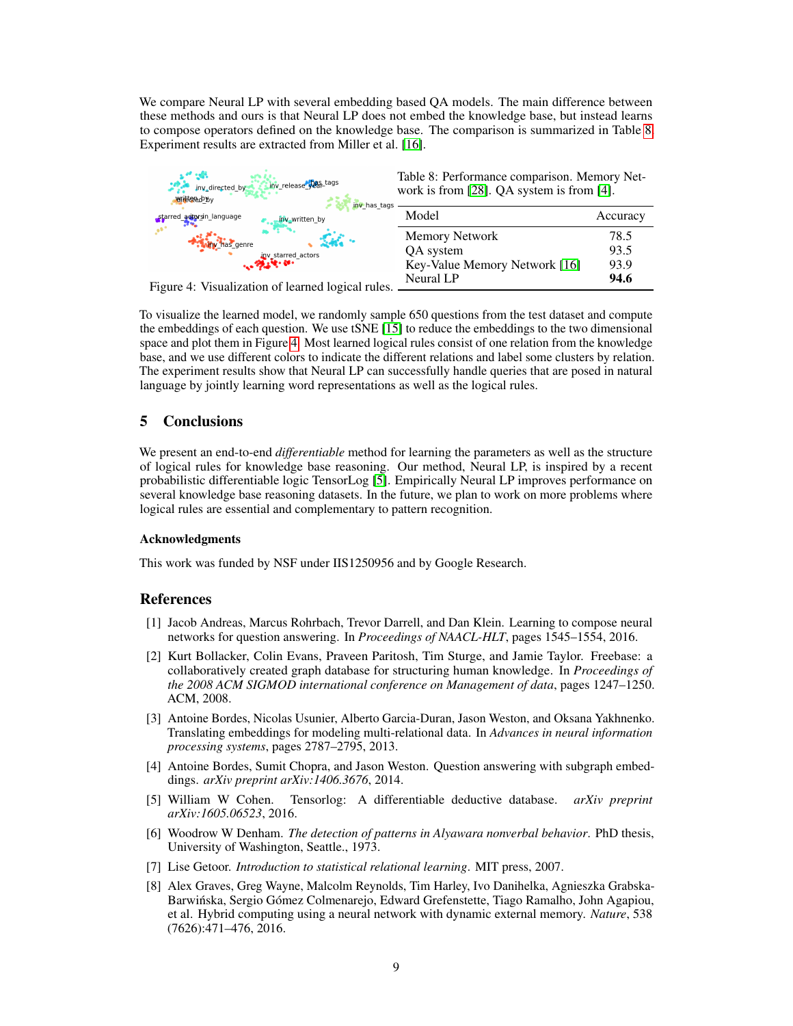We compare Neural LP with several embedding based QA models. The main difference between these methods and ours is that Neural LP does not embed the knowledge base, but instead learns to compose operators defined on the knowledge base. The comparison is summarized in Table 8. Experiment results are extracted from Miller et al. [16].



Figure 4: Visualization of learned logical rules.

To visualize the learned model, we randomly sample 650 questions from the test dataset and compute the embeddings of each question. We use tSNE [15] to reduce the embeddings to the two dimensional space and plot them in Figure 4. Most learned logical rules consist of one relation from the knowledge base, and we use different colors to indicate the different relations and label some clusters by relation. The experiment results show that Neural LP can successfully handle queries that are posed in natural language by jointly learning word representations as well as the logical rules.

# 5 Conclusions

We present an end-to-end *differentiable* method for learning the parameters as well as the structure of logical rules for knowledge base reasoning. Our method, Neural LP, is inspired by a recent probabilistic differentiable logic TensorLog [5]. Empirically Neural LP improves performance on several knowledge base reasoning datasets. In the future, we plan to work on more problems where logical rules are essential and complementary to pattern recognition.

### Acknowledgments

This work was funded by NSF under IIS1250956 and by Google Research.

## References

- [1] Jacob Andreas, Marcus Rohrbach, Trevor Darrell, and Dan Klein. Learning to compose neural networks for question answering. In *Proceedings of NAACL-HLT*, pages 1545–1554, 2016.
- [2] Kurt Bollacker, Colin Evans, Praveen Paritosh, Tim Sturge, and Jamie Taylor. Freebase: a collaboratively created graph database for structuring human knowledge. In *Proceedings of the 2008 ACM SIGMOD international conference on Management of data*, pages 1247–1250. ACM, 2008.
- [3] Antoine Bordes, Nicolas Usunier, Alberto Garcia-Duran, Jason Weston, and Oksana Yakhnenko. Translating embeddings for modeling multi-relational data. In *Advances in neural information processing systems*, pages 2787–2795, 2013.
- [4] Antoine Bordes, Sumit Chopra, and Jason Weston. Question answering with subgraph embeddings. *arXiv preprint arXiv:1406.3676*, 2014.
- [5] William W Cohen. Tensorlog: A differentiable deductive database. *arXiv preprint arXiv:1605.06523*, 2016.
- [6] Woodrow W Denham. *The detection of patterns in Alyawara nonverbal behavior*. PhD thesis, University of Washington, Seattle., 1973.
- [7] Lise Getoor. *Introduction to statistical relational learning*. MIT press, 2007.
- [8] Alex Graves, Greg Wayne, Malcolm Reynolds, Tim Harley, Ivo Danihelka, Agnieszka Grabska-Barwinska, Sergio Gómez Colmenarejo, Edward Grefenstette, Tiago Ramalho, John Agapiou, ´ et al. Hybrid computing using a neural network with dynamic external memory. *Nature*, 538 (7626):471–476, 2016.